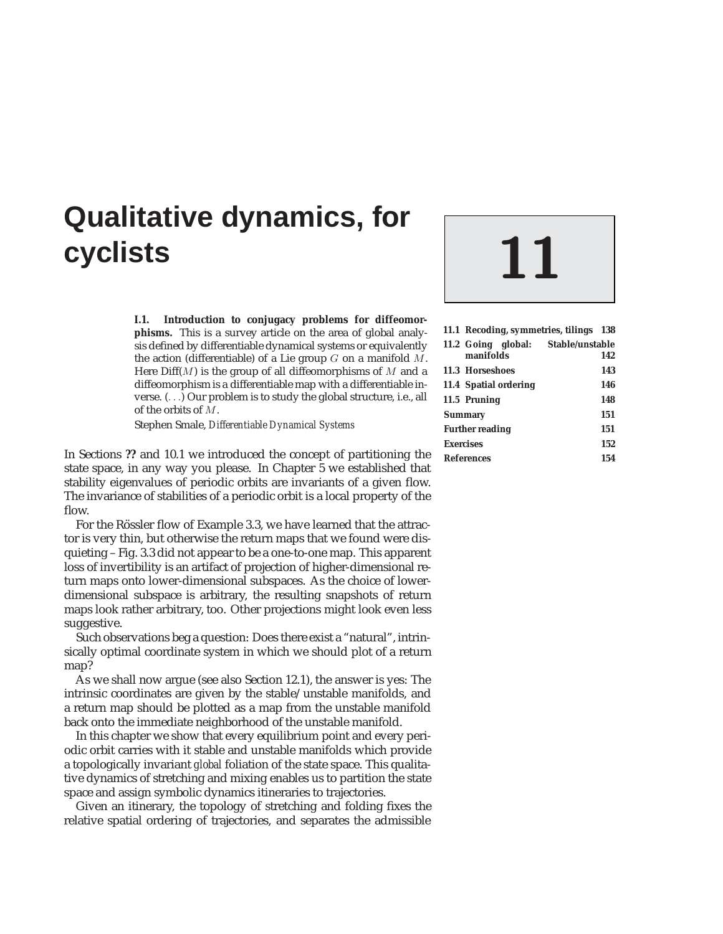# **Qualitative dynamics, for cyclists 11**

**I.1. Introduction to conjugacy problems for diffeomorphisms.** This is a survey article on the area of global analysis defined by differentiable dynamical systems or equivalently the action (differentiable) of a Lie group  $G$  on a manifold  $M$ . Here  $Diff(M)$  is the group of all diffeomorphisms of M and a diffeomorphism is a differentiable map with a differentiable inverse. (...) Our problem is to study the global structure, i.e., all of the orbits of M.

Stephen Smale, *Differentiable Dynamical Systems*

In Sections **??** and 10.1 we introduced the concept of partitioning the state space, in any way you please. In Chapter 5 we established that stability eigenvalues of periodic orbits are invariants of a given flow. The invariance of stabilities of a periodic orbit is a local property of the flow.

For the Rössler flow of Example 3.3, we have learned that the attractor is very thin, but otherwise the return maps that we found were disquieting – Fig. 3.3 did not appear to be a one-to-one map. This apparent loss of invertibility is an artifact of projection of higher-dimensional return maps onto lower-dimensional subspaces. As the choice of lowerdimensional subspace is arbitrary, the resulting snapshots of return maps look rather arbitrary, too. Other projections might look even less suggestive.

Such observations beg a question: Does there exist a "natural", intrinsically optimal coordinate system in which we should plot of a return map?

As we shall now argue (see also Section 12.1), the answer is yes: The intrinsic coordinates are given by the stable/unstable manifolds, and a return map should be plotted as a map from the unstable manifold back onto the immediate neighborhood of the unstable manifold.

In this chapter we show that every equilibrium point and every periodic orbit carries with it stable and unstable manifolds which provide a topologically invariant *global* foliation of the state space. This qualitative dynamics of stretching and mixing enables us to partition the state space and assign symbolic dynamics itineraries to trajectories.

Given an itinerary, the topology of stretching and folding fixes the relative spatial ordering of trajectories, and separates the admissible



| 11.1 Recoding, symmetries, tilings 138          |     |
|-------------------------------------------------|-----|
| 11.2 Going global: Stable/unstable<br>manifolds | 142 |
| 11.3 Horseshoes                                 | 143 |
| 11.4 Spatial ordering                           | 146 |
| 11.5 Pruning                                    | 148 |
| <b>Summary</b>                                  | 151 |
| <b>Further reading</b>                          | 151 |
| <b>Exercises</b>                                | 152 |
| <b>References</b>                               | 154 |
|                                                 |     |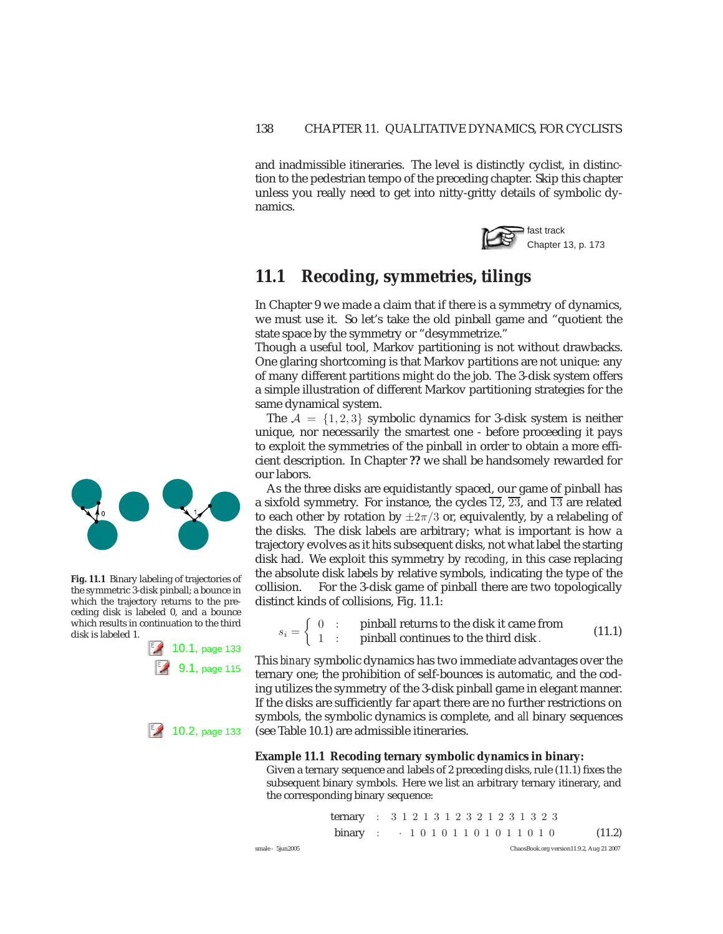and inadmissible itineraries. The level is distinctly cyclist, in distinction to the pedestrian tempo of the preceding chapter. Skip this chapter unless you really need to get into nitty-gritty details of symbolic dynamics.



# **11.1 Recoding, symmetries, tilings**

In Chapter 9 we made a claim that if there is a symmetry of dynamics, we must use it. So let's take the old pinball game and "quotient the state space by the symmetry or "desymmetrize."

Though a useful tool, Markov partitioning is not without drawbacks. One glaring shortcoming is that Markov partitions are not unique: any of many different partitions might do the job. The 3-disk system offers a simple illustration of different Markov partitioning strategies for the same dynamical system.

The  $A = \{1, 2, 3\}$  symbolic dynamics for 3-disk system is neither unique, nor necessarily the smartest one - before proceeding it pays to exploit the symmetries of the pinball in order to obtain a more efficient description. In Chapter **??** we shall be handsomely rewarded for our labors.

As the three disks are equidistantly spaced, our game of pinball has a sixfold symmetry. For instance, the cycles  $\overline{12}$ ,  $\overline{23}$ , and  $\overline{13}$  are related to each other by rotation by  $\pm 2\pi/3$  or, equivalently, by a relabeling of the disks. The disk labels are arbitrary; what is important is how a trajectory evolves as it hits subsequent disks, not what label the starting disk had. We exploit this symmetry by *recoding*, in this case replacing the absolute disk labels by relative symbols, indicating the type of the collision. For the 3-disk game of pinball there are two topologically distinct kinds of collisions, Fig. 11.1:

 $s_i = \begin{cases} 0 & \text{:} \quad \text{pihball returns to the disk it came from} \\ 1 & \text{:} \quad \text{pihball continues to the third disk}. \end{cases}$  (11.1)

This *binary* symbolic dynamics has two immediate advantages over the ternary one; the prohibition of self-bounces is automatic, and the coding utilizes the symmetry of the 3-disk pinball game in elegant manner. If the disks are sufficiently far apart there are no further restrictions on symbols, the symbolic dynamics is complete, and *all* binary sequences 10.2, page 133 (see Table 10.1) are admissible itineraries.

#### **Example 11.1 Recoding ternary symbolic dynamics in binary:**

Given a ternary sequence and labels of 2 preceding disks, rule (11.1) fixes the subsequent binary symbols. Here we list an arbitrary ternary itinerary, and the corresponding binary sequence:

|                  | ternary : $3\ 1\ 2\ 1\ 3\ 1\ 2\ 3\ 2\ 1\ 2\ 3\ 1\ 3\ 2\ 3$ |  |  |  |  |  |  |  |  |                                          |
|------------------|------------------------------------------------------------|--|--|--|--|--|--|--|--|------------------------------------------|
|                  | binary : $\cdot$ 10101101011010                            |  |  |  |  |  |  |  |  | (11.2)                                   |
| smale - 5jun2005 |                                                            |  |  |  |  |  |  |  |  | ChaosBook.org version11.9.2, Aug 21 2007 |



**Fig. 11.1** Binary labeling of trajectories of the symmetric 3-disk pinball; a bounce in which the trajectory returns to the preceding disk is labeled 0, and a bounce which results in continuation to the third disk is labeled 1.

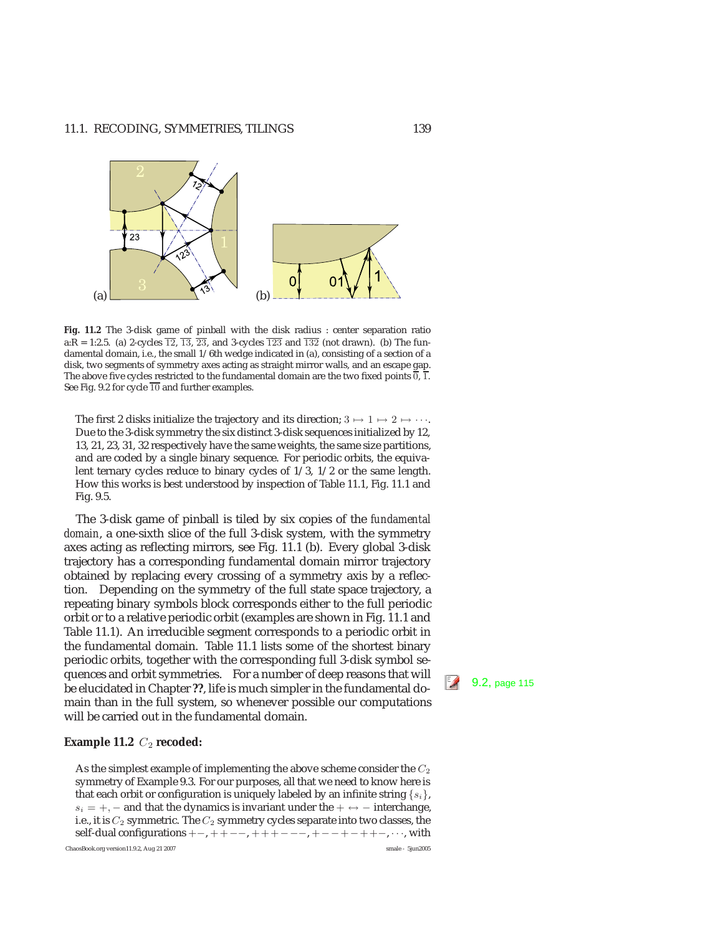

**Fig. 11.2** The 3-disk game of pinball with the disk radius : center separation ratio a:R = 1:2.5. (a) 2-cycles  $\overline{12}$ ,  $\overline{13}$ ,  $\overline{23}$ , and 3-cycles  $\overline{123}$  and  $\overline{132}$  (not drawn). (b) The fundamental domain, i.e., the small 1/6th wedge indicated in (a), consisting of a section of a disk, two segments of symmetry axes acting as straight mirror walls, and an escape gap. The above five cycles restricted to the fundamental domain are the two fixed points  $\overline{0}$ ,  $\overline{1}$ . See Fig. 9.2 for cycle  $\overline{10}$  and further examples.

The first 2 disks initialize the trajectory and its direction;  $3 \mapsto 1 \mapsto 2 \mapsto \cdots$ . Due to the 3-disk symmetry the six distinct 3-disk sequences initialized by 12, 13, 21, 23, 31, 32 respectively have the same weights, the same size partitions, and are coded by a single binary sequence. For periodic orbits, the equivalent ternary cycles reduce to binary cycles of 1/3, 1/2 or the same length. How this works is best understood by inspection of Table 11.1, Fig. 11.1 and Fig. 9.5.

The 3-disk game of pinball is tiled by six copies of the *fundamental domain*, a one-sixth slice of the full 3-disk system, with the symmetry axes acting as reflecting mirrors, see Fig. 11.1 (b). Every global 3-disk trajectory has a corresponding fundamental domain mirror trajectory obtained by replacing every crossing of a symmetry axis by a reflection. Depending on the symmetry of the full state space trajectory, a repeating binary symbols block corresponds either to the full periodic orbit or to a relative periodic orbit (examples are shown in Fig. 11.1 and Table 11.1). An irreducible segment corresponds to a periodic orbit in the fundamental domain. Table 11.1 lists some of the shortest binary periodic orbits, together with the corresponding full 3-disk symbol sequences and orbit symmetries. For a number of deep reasons that will be elucidated in Chapter **??**, life is much simpler in the fundamental do-<br>Be elucidated in Chapter **??**, life is much simpler in the fundamental domain than in the full system, so whenever possible our computations will be carried out in the fundamental domain.

#### **Example 11.2**  $C_2$  **recoded:**

As the simplest example of implementing the above scheme consider the  $C_2$ symmetry of Example 9.3. For our purposes, all that we need to know here is that each orbit or configuration is uniquely labeled by an infinite string  $\{s_i\}$ ,  $s_i = +$ , – and that the dynamics is invariant under the  $+ \leftrightarrow -$  interchange, i.e., it is  $C_2$  symmetric. The  $C_2$  symmetry cycles separate into two classes, the self-dual configurations  $+-, ++--, +++---, +-++-++-, \cdots$ , with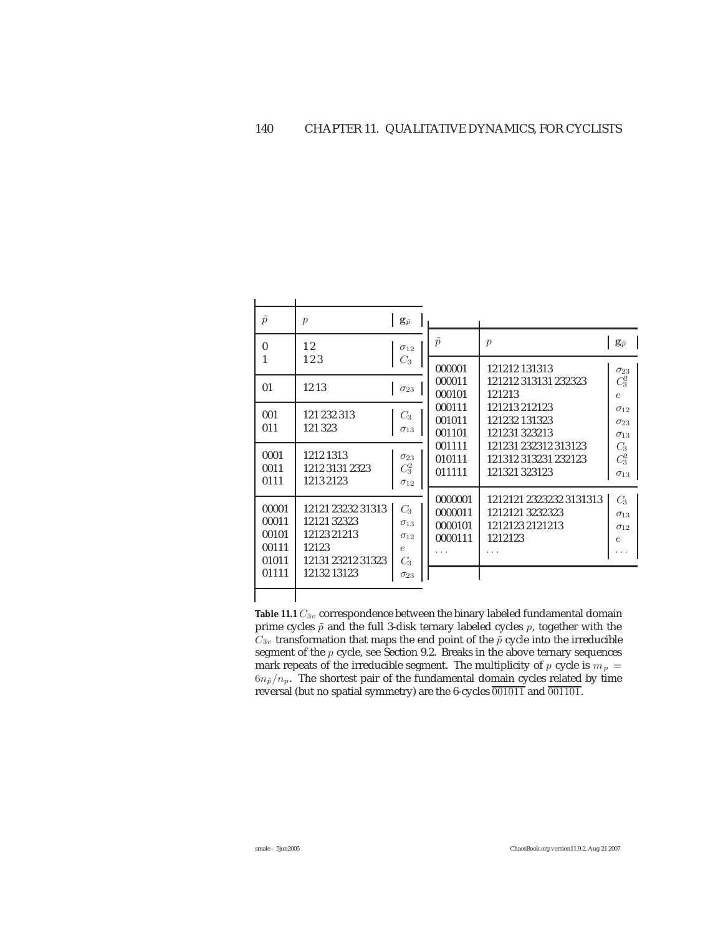| $\tilde{p}$       | $\boldsymbol{p}$  | $\mathbf{g}_{\tilde{p}}$ |                  |                                     |                                |
|-------------------|-------------------|--------------------------|------------------|-------------------------------------|--------------------------------|
| $\mathbf{0}$<br>1 | 12<br>123         | $\sigma_{12}$            | $\tilde{p}$      | $\mathcal{p}$                       | $\mathbf{g}_{\tilde{p}}$       |
|                   |                   | $C_3$                    | 000001           | 121212 131313                       | $\sigma_{23}$                  |
| 01                | 1213              | $\sigma_{23}$            | 000011<br>000101 | 121212313131232323<br>121213        | $C_3^2$<br>$\epsilon$          |
| 001               | 121 232 313       | $C_3$                    | 000111           | 121213 212123                       | $\sigma_{12}$                  |
| 011               | 121323            | $\sigma_{13}$            | 001011<br>001101 | 121232 131323<br>121231 323213      | $\sigma_{23}$<br>$\sigma_{13}$ |
| 0001              | 1212 1313         |                          | 001111           | 121231 232312 313123                | C <sub>3</sub>                 |
| 0011              | 1212 3131 2323    | $\sigma_{23}$<br>$C_3^2$ | 010111<br>011111 | 121312313231232123<br>121321 323123 | $C_3^2$                        |
| 0111              | 12132123          | $\sigma_{12}$            |                  |                                     | $\sigma_{13}$                  |
| 00001             | 12121 23232 31313 |                          | 0000001          | 1212121 2323232 3131313             | $C_3$                          |
| 00011             | 12121 32323       | $C_{3}$<br>$\sigma_{13}$ | 0000011          | 12121213232323                      | $\sigma_{13}$                  |
| 00101             | 12123 21213       | $\sigma_{12}$            | 0000101          | 1212123 2121213                     | $\sigma_{12}$                  |
| 00111             | 12123             | $\epsilon$               | 0000111          | 1212123                             | $\epsilon$                     |
| 01011             | 12131 23212 31323 | $C_{3}$                  |                  |                                     |                                |
| 01111             | 12132 13123       | $\sigma_{23}$            |                  |                                     |                                |
|                   |                   |                          |                  |                                     |                                |

**Table 11.1**  $C_{3v}$  correspondence between the binary labeled fundamental domain prime cycles  $\tilde{p}$  and the full 3-disk ternary labeled cycles  $p,$  together with the  $C_{3v}$  transformation that maps the end point of the  $\tilde{p}$  cycle into the irreducible segment of the p cycle, see Section 9.2. Breaks in the above ternary sequences mark repeats of the irreducible segment. The multiplicity of  $p$  cycle is  $m_p =$  $6n_{\tilde{p}}/n_p$ . The shortest pair of the fundamental domain cycles related by time reversal (but no spatial symmetry) are the 6-cycles 001011 and 001101.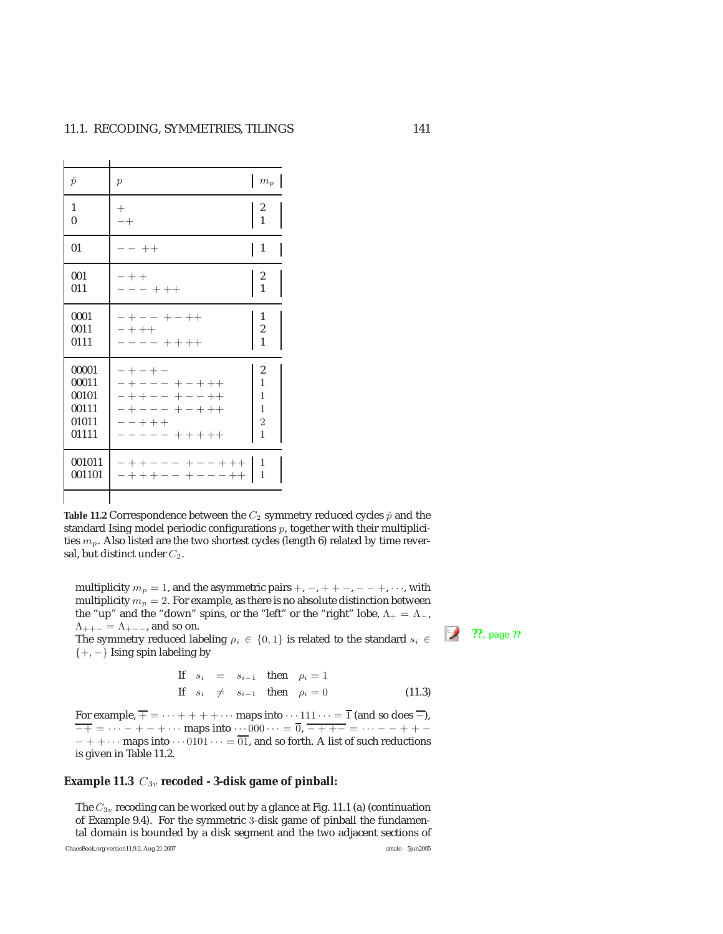Ĭ.

| $\tilde{p}$                                        | $\mathcal{p}$                                                                                             | $m_p$                                                                     |
|----------------------------------------------------|-----------------------------------------------------------------------------------------------------------|---------------------------------------------------------------------------|
| 1<br>$\mathbf{0}$                                  | $^+$<br>$-+$                                                                                              | $\begin{array}{c} 2 \\ 1 \end{array}$                                     |
| 01                                                 | $- - + +$                                                                                                 | $\mathbf{1}$                                                              |
| 001<br>011                                         | $- + +$<br>$---+++$                                                                                       | 2<br>$\overline{1}$                                                       |
| 0001<br>0011<br>0111                               | $- + - - + - + +$<br>$- + + +$<br>$- - - + + + + +$                                                       | 1<br>2<br>1                                                               |
| 00001<br>00011<br>00101<br>00111<br>01011<br>01111 | $-+ - + -$<br>-+--- +-+++<br>$- + + - - + - - + +$<br>$- + - - - + - + + +$<br>$- - + + +$<br>----- +++++ | 2<br>$\overline{1}$<br>1<br>$\mathbf{1}$<br>$\overline{c}$<br>$\mathbf 1$ |
| 001011<br>001101                                   | $- + + - - - + - - + + + -$<br>$- + + + - - + - - + +$                                                    | 1<br>1                                                                    |
|                                                    |                                                                                                           |                                                                           |

**Table 11.2** Correspondence between the  $C_2$  symmetry reduced cycles  $\tilde{p}$  and the standard Ising model periodic configurations  $p$ , together with their multiplicities  $m_p$ . Also listed are the two shortest cycles (length 6) related by time reversal, but distinct under  $C_2$ .

multiplicity  $m_p = 1$ , and the asymmetric pairs  $+, -, + + -, - - +, \cdots$ , with multiplicity  $m_p = 2$ . For example, as there is no absolute distinction between the "up" and the "down" spins, or the "left" or the "right" lobe,  $Λ_+ = Λ_-,$  $\Lambda_{++-} = \Lambda_{+--}$ , and so on.<br>The symmetry reduced labeling  $\rho_i \in \{0,1\}$  is related to the standard  $s_i \in \mathbb{Z}$  ??, page ??

 $\{+, -\}$  Ising spin labeling by

If 
$$
s_i = s_{i-1}
$$
 then  $\rho_i = 1$   
\nIf  $s_i \neq s_{i-1}$  then  $\rho_i = 0$  (11.3)

For example,  $\overline{+}$  =  $\cdots$  + + + +  $\cdots$  maps into  $\cdots$  111  $\cdots$  =  $\overline{1}$  (and so does  $\overline{-}$ ),  $\overline{-+}$  =  $\cdots$  - + - +  $\cdots$  maps into  $\cdots$  000  $\cdots$  =  $\overline{0}$ ,  $\overline{-++-}$  =  $\cdots$  - - + + - $-++\cdots$  maps into  $\cdots$  0101  $\cdots = \overline{01}$ , and so forth. A list of such reductions is given in Table 11.2.

#### Example 11.3  $C_{3v}$  recoded - 3-disk game of pinball:

The  $C_{3v}$  recoding can be worked out by a glance at Fig. 11.1 (a) (continuation of Example 9.4). For the symmetric 3-disk game of pinball the fundamental domain is bounded by a disk segment and the two adjacent sections of

ChaosBook.org version11.9.2, Aug 21 2007 smale - 5jun2005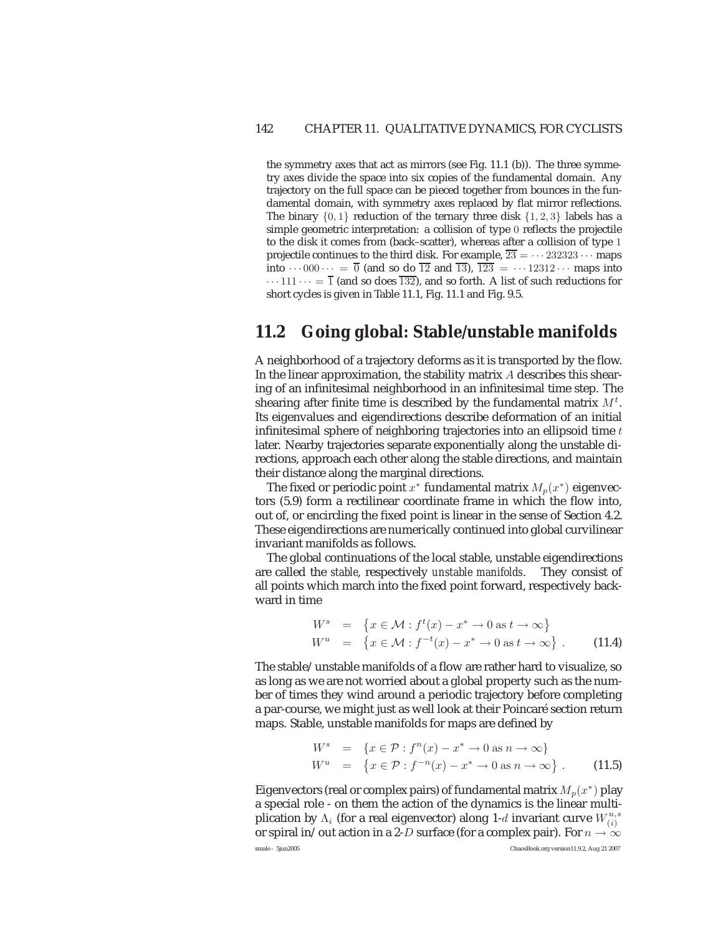the symmetry axes that act as mirrors (see Fig. 11.1 (b)). The three symmetry axes divide the space into six copies of the fundamental domain. Any trajectory on the full space can be pieced together from bounces in the fundamental domain, with symmetry axes replaced by flat mirror reflections. The binary  $\{0, 1\}$  reduction of the ternary three disk  $\{1, 2, 3\}$  labels has a simple geometric interpretation: a collision of type 0 reflects the projectile to the disk it comes from (back–scatter), whereas after a collision of type 1 projectile continues to the third disk. For example,  $\overline{23} = \cdots 232323 \cdots$  maps into  $\cdots$  000 $\cdots = \overline{0}$  (and so do  $\overline{12}$  and  $\overline{13}$ ),  $\overline{123} = \cdots 12312 \cdots$  maps into  $\cdots$  111  $\cdots = \overline{1}$  (and so does  $\overline{132}$ ), and so forth. A list of such reductions for short cycles is given in Table 11.1, Fig. 11.1 and Fig. 9.5.

# **11.2 Going global: Stable/unstable manifolds**

A neighborhood of a trajectory deforms as it is transported by the flow. In the linear approximation, the stability matrix  $A$  describes this shearing of an infinitesimal neighborhood in an infinitesimal time step. The shearing after finite time is described by the fundamental matrix  $M^t$ . Its eigenvalues and eigendirections describe deformation of an initial infinitesimal sphere of neighboring trajectories into an ellipsoid time  $t$ later. Nearby trajectories separate exponentially along the unstable directions, approach each other along the stable directions, and maintain their distance along the marginal directions.

The fixed or periodic point  $x^*$  fundamental matrix  $M_n(x^*)$  eigenvectors (5.9) form a rectilinear coordinate frame in which the flow into, out of, or encircling the fixed point is linear in the sense of Section 4.2. These eigendirections are numerically continued into global curvilinear invariant manifolds as follows.

The global continuations of the local stable, unstable eigendirections are called the *stable*, respectively *unstable manifolds*. They consist of all points which march into the fixed point forward, respectively backward in time

$$
W^s = \{x \in \mathcal{M} : f^t(x) - x^* \to 0 \text{ as } t \to \infty\}
$$
  

$$
W^u = \{x \in \mathcal{M} : f^{-t}(x) - x^* \to 0 \text{ as } t \to \infty\}.
$$
 (11.4)

The stable/unstable manifolds of a flow are rather hard to visualize, so as long as we are not worried about a global property such as the number of times they wind around a periodic trajectory before completing a par-course, we might just as well look at their Poincaré section return maps. Stable, unstable manifolds for maps are defined by

$$
W^{s} = \{x \in \mathcal{P} : f^{n}(x) - x^{*} \to 0 \text{ as } n \to \infty\}
$$
  

$$
W^{u} = \{x \in \mathcal{P} : f^{-n}(x) - x^{*} \to 0 \text{ as } n \to \infty\}.
$$
 (11.5)

Eigenvectors (real or complex pairs) of fundamental matrix  $M_p(x^*)$  play a special role - on them the action of the dynamics is the linear multiplication by  $\Lambda_i$  (for a real eigenvector) along 1-d invariant curve  $W_{(i)}^{u,s}$ or spiral in/out action in a 2-D surface (for a complex pair). For  $n \to \infty$ smale - 5jun2005 ChaosBook.org version11.9.2, Aug 21 2007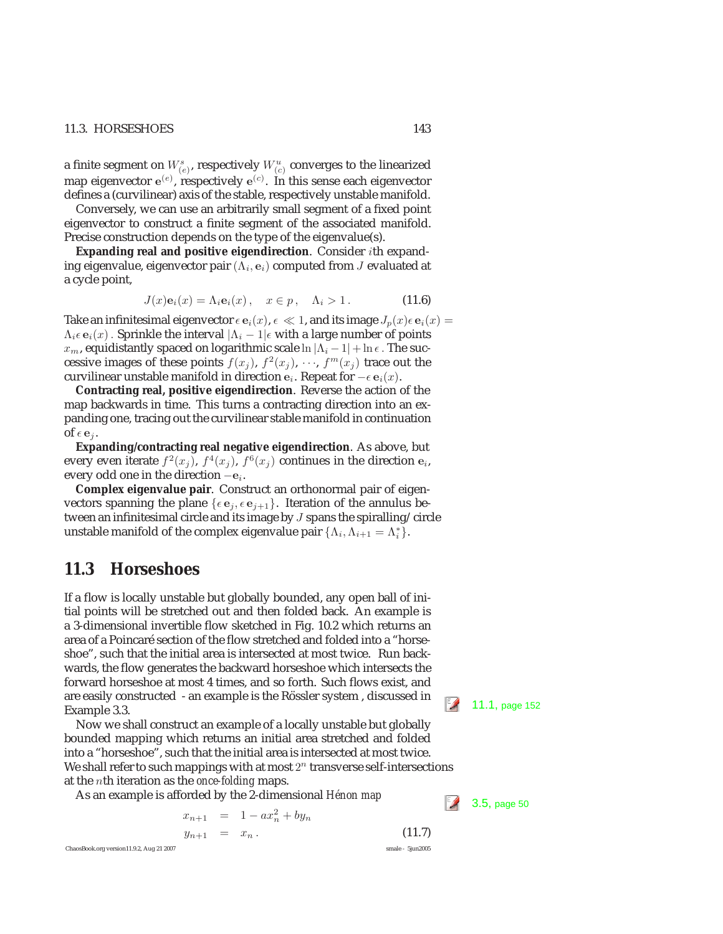#### 11.3. HORSESHOES 143

a finite segment on  $W^s_{(e)}$ , respectively  $W^u_{(c)}$  converges to the linearized map eigenvector  $e^{(e)}$ , respectively  $e^{(c)}$ . In this sense each eigenvector<br>defines a (curvilinear) avis of the stable, respectively unstable manifold defines a (curvilinear) axis of the stable, respectively unstable manifold.

Conversely, we can use an arbitrarily small segment of a fixed point eigenvector to construct a finite segment of the associated manifold. Precise construction depends on the type of the eigenvalue(s).

**Expanding real and positive eigendirection**. Consider ith expanding eigenvalue, eigenvector pair  $(\Lambda_i, \mathbf{e}_i)$  computed from J evaluated at a cycle point,

$$
J(x)\mathbf{e}_i(x) = \Lambda_i \mathbf{e}_i(x), \quad x \in p, \quad \Lambda_i > 1.
$$
 (11.6)

Take an infinitesimal eigenvector  $\epsilon \mathbf{e}_i(x)$ ,  $\epsilon \ll 1$ , and its image  $J_p(x)\epsilon \mathbf{e}_i(x) =$  $\Lambda_i \in \mathbf{e}_i(x)$ . Sprinkle the interval  $|\Lambda_i - 1| \in \mathbf{with}$  a large number of points  $x_m$ , equidistantly spaced on logarithmic scale  $\ln |\Lambda_i - 1| + \ln \epsilon$ . The successive images of these points  $f(x_j)$ ,  $f^2(x_j)$ ,  $\cdots$ ,  $f^m(x_j)$  trace out the curvilinear unstable manifold in direction  $e_i$ . Repeat for  $-\epsilon e_i(x)$ .

**Contracting real, positive eigendirection**. Reverse the action of the map backwards in time. This turns a contracting direction into an expanding one, tracing out the curvilinear stable manifold in continuation of  $\epsilon$  **e**<sub>j</sub>.

**Expanding/contracting real negative eigendirection**. As above, but every even iterate  $f^2(x_i)$ ,  $f^4(x_i)$ ,  $f^6(x_i)$  continues in the direction  $e_i$ , every odd one in the direction <sup>−</sup>**e**<sup>i</sup>.

**Complex eigenvalue pair**. Construct an orthonormal pair of eigenvectors spanning the plane  $\{\epsilon e_j, \epsilon e_{j+1}\}$ . Iteration of the annulus between an infinitesimal circle and its image by J spans the spiralling/circle unstable manifold of the complex eigenvalue pair  $\{\Lambda_i, \Lambda_{i+1} = \Lambda_i^*\}.$ 

## **11.3 Horseshoes**

If a flow is locally unstable but globally bounded, any open ball of initial points will be stretched out and then folded back. An example is a 3-dimensional invertible flow sketched in Fig. 10.2 which returns an area of a Poincaré section of the flow stretched and folded into a "horseshoe", such that the initial area is intersected at most twice. Run backwards, the flow generates the backward horseshoe which intersects the forward horseshoe at most 4 times, and so forth. Such flows exist, and are easily constructed - an example is the Rössler system , discussed in  $\Box$  11.1, page 152 Example 3.3.

Now we shall construct an example of a locally unstable but globally bounded mapping which returns an initial area stretched and folded into a "horseshoe", such that the initial area is intersected at most twice. We shall refer to such mappings with at most  $2^n$  transverse self-intersections at the nth iteration as the *once-folding* maps.

As an example is afforded by the 2-dimensional *Hénon map* 3.5, page 50

$$
x_{n+1} = 1 - ax_n^2 + by_n
$$
  
\n
$$
y_{n+1} = x_n.
$$
 (11.7)  
\nChaosBook.org version11.9.2, Aug 21 2007  
\nsmale - Sjun2005

$$
\begin{array}{c}\n1.7 \\
\hline\n\end{array}
$$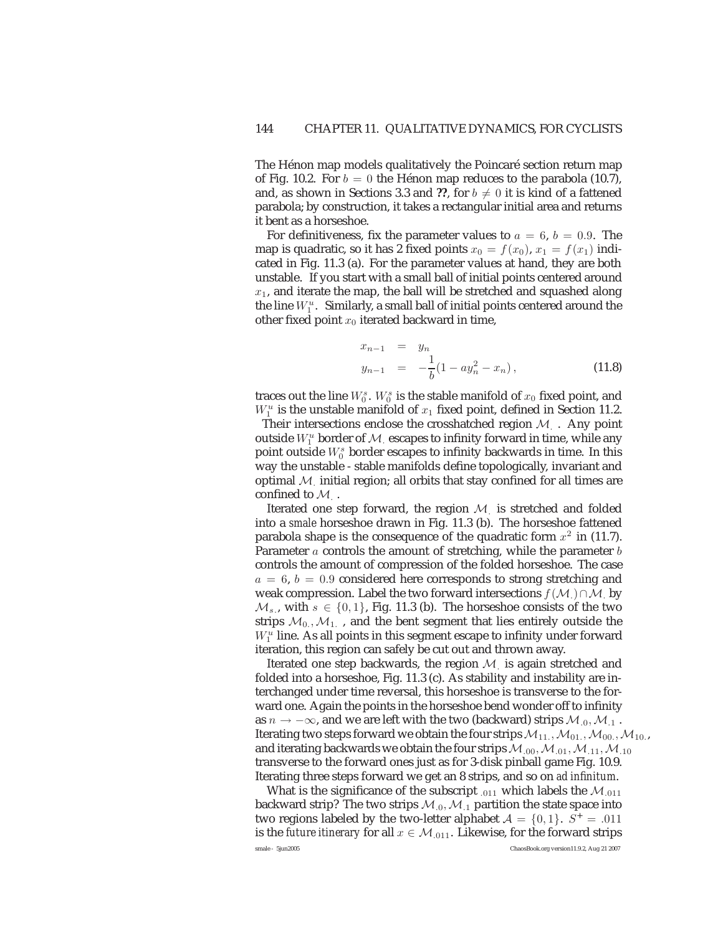The Hénon map models qualitatively the Poincaré section return map of Fig. 10.2. For  $b = 0$  the Hénon map reduces to the parabola (10.7), and, as shown in Sections 3.3 and ??, for  $b\neq 0$  it is kind of a fattened parabola; by construction, it takes a rectangular initial area and returns it bent as a horseshoe.

For definitiveness, fix the parameter values to  $a = 6$ ,  $b = 0.9$ . The map is quadratic, so it has 2 fixed points  $x_0 = f(x_0)$ ,  $x_1 = f(x_1)$  indicated in Fig. 11.3 (a). For the parameter values at hand, they are both unstable. If you start with a small ball of initial points centered around  $x_1$ , and iterate the map, the ball will be stretched and squashed along the line  $W_1^u$ . Similarly, a small ball of initial points centered around the other fixed point  $x_0$  iterated backward in time,

$$
x_{n-1} = y_n
$$
  
\n
$$
y_{n-1} = -\frac{1}{b}(1 - ay_n^2 - x_n),
$$
\n(11.8)

traces out the line  $W^s_0$ .  $W^s_0$  is the stable manifold of  $x_0$  fixed point, and  $W_1^u$  is the unstable manifold of  $x_1$  fixed point, defined in Section 11.2. Their intersections enclose the crosshatched region  $M_{\perp}$ . Any point outside  $W^u_1$  border of  ${\mathcal M}^+$  escapes to infinity forward in time, while any point outside  $W_0^s$  border escapes to infinity backwards in time. In this way the unstable - stable manifolds define topologically, invariant and optimal  $M$  initial region; all orbits that stay confined for all times are confined to  $M$ .

Iterated one step forward, the region  $M$  is stretched and folded into a *smale* horseshoe drawn in Fig. 11.3 (b). The horseshoe fattened parabola shape is the consequence of the quadratic form  $x^2$  in (11.7). Parameter  $a$  controls the amount of stretching, while the parameter  $b$ controls the amount of compression of the folded horseshoe. The case  $a = 6, b = 0.9$  considered here corresponds to strong stretching and weak compression. Label the two forward intersections  $f(M) \cap M$  by  $M_s$ , with  $s \in \{0,1\}$ , Fig. 11.3 (b). The horseshoe consists of the two strips  $M_0, M_1$ , and the bent segment that lies entirely outside the  $W_1^u$  line. As all points in this segment escape to infinity under forward iteration, this region can safely be cut out and thrown away.

Iterated one step backwards, the region  $M$  is again stretched and folded into a horseshoe, Fig. 11.3 (c). As stability and instability are interchanged under time reversal, this horseshoe is transverse to the forward one. Again the points in the horseshoe bend wonder off to infinity as  $n \to -\infty$ , and we are left with the two (backward) strips  $\mathcal{M}_{.0}, \mathcal{M}_{.1}$ . Iterating two steps forward we obtain the four strips  $\mathcal{M}_{11.},\mathcal{M}_{01.},\mathcal{M}_{00.},\mathcal{M}_{10.},$ and iterating backwards we obtain the four strips  $M_{.00}, M_{.01}, M_{.11}, M_{.10}$ transverse to the forward ones just as for 3-disk pinball game Fig. 10.9. Iterating three steps forward we get an 8 strips, and so on *ad infinitum*.

What is the significance of the subscript  $_{.011}$  which labels the  $\mathcal{M}_{.011}$ backward strip? The two strips  $M_{0}$ ,  $M_{1}$  partition the state space into two regions labeled by the two-letter alphabet  $A = \{0, 1\}$ .  $S^+ = .011$ is the *future itinerary* for all  $x \in M_{.011}$ . Likewise, for the forward strips smale - 5jun2005 ChaosBook.org version11.9.2, Aug 21 2007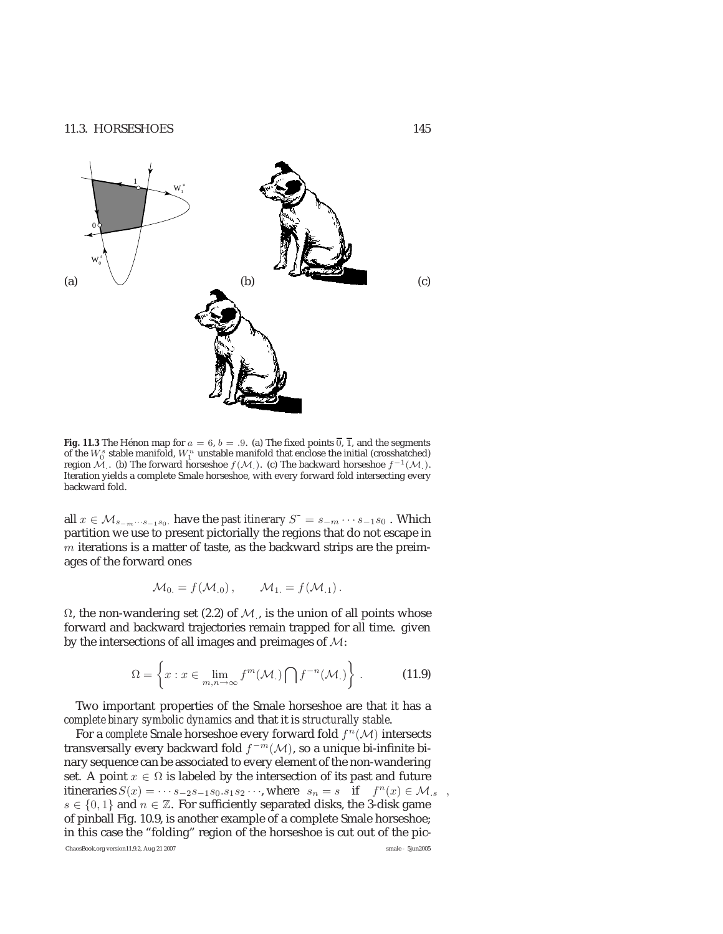

**Fig. 11.3** The Hénon map for  $a = 6$ ,  $b = .9$ . (a) The fixed points  $\overline{0}$ ,  $\overline{1}$ , and the segments of the  $W_0^s$  stable manifold,  $W_1^u$  unstable manifold that enclose the initial (crosshatched) region  $\mathcal{M}$ . (b) The forward horseshoe  $f(\mathcal{M})$ . (c) The backward horseshoe  $f^{-1}(\mathcal{M})$ . Iteration yields a complete Smale horseshoe, with every forward fold intersecting every backward fold.

all  $x \in M_{s-m\cdots s-1s_0}$ , have the *past itinerary*  $S^- = s_{-m} \cdots s_{-1}s_0$ . Which partition we use to present pictorially the regions that do not escape in  $m$  iterations is a matter of taste, as the backward strips are the preimages of the forward ones

$$
\mathcal{M}_0 = f(\mathcal{M}_{.0}), \qquad \mathcal{M}_1 = f(\mathcal{M}_{.1}).
$$

 $Ω$ , the non-wandering set  $(2.2)$  of  $M$ , is the union of all points whose forward and backward trajectories remain trapped for all time. given by the intersections of all images and preimages of M:

$$
\Omega = \left\{ x : x \in \lim_{m,n \to \infty} f^m(\mathcal{M}_.) \bigcap f^{-n}(\mathcal{M}_.) \right\} .
$$
 (11.9)

Two important properties of the Smale horseshoe are that it has a *complete binary symbolic dynamics* and that it is *structurally stable*.

For a *complete* Smale horseshoe every forward fold  $f^{n}(\mathcal{M})$  intersects transversally every backward fold  $f^{-m}(\mathcal{M})$ , so a unique bi-infinite binary sequence can be associated to every element of the non-wandering set. A point  $x \in \Omega$  is labeled by the intersection of its past and future itineraries  $S(x) = \cdots s_{-2}s_{-1}s_0.s_1s_2\cdots$ , where  $s_n = s$  if  $f^n(x) \in M_{\cdot,s}$ ,  $s \in \{0, 1\}$  and  $n \in \mathbb{Z}$ . For sufficiently separated disks, the 3-disk game of pinball Fig. 10.9, is another example of a complete Smale horseshoe; in this case the "folding" region of the horseshoe is cut out of the pic-ChaosBook.org version11.9.2, Aug 21 2007 smale - 5jun2005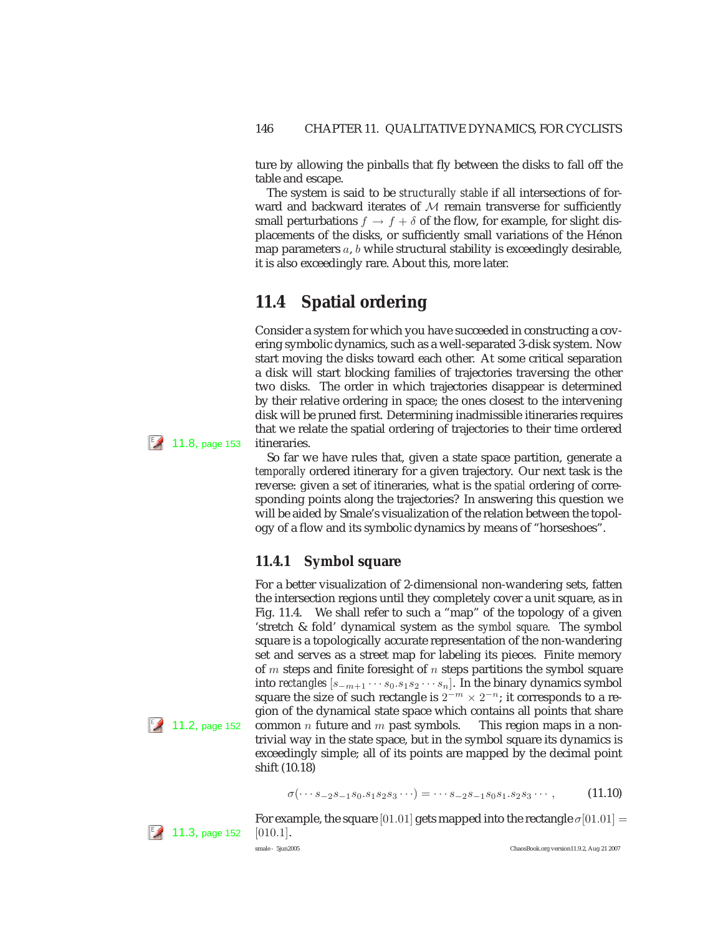ture by allowing the pinballs that fly between the disks to fall off the table and escape.

The system is said to be *structurally stable* if all intersections of forward and backward iterates of  $M$  remain transverse for sufficiently small perturbations  $f \to f + \delta$  of the flow, for example, for slight displacements of the disks, or sufficiently small variations of the Hénon map parameters  $a, b$  while structural stability is exceedingly desirable, it is also exceedingly rare. About this, more later.

# **11.4 Spatial ordering**

Consider a system for which you have succeeded in constructing a covering symbolic dynamics, such as a well-separated 3-disk system. Now start moving the disks toward each other. At some critical separation a disk will start blocking families of trajectories traversing the other two disks. The order in which trajectories disappear is determined by their relative ordering in space; the ones closest to the intervening disk will be pruned first. Determining inadmissible itineraries requires that we relate the spatial ordering of trajectories to their time ordered  $11.8$ , page 153 itineraries.

> So far we have rules that, given a state space partition, generate a *temporally* ordered itinerary for a given trajectory. Our next task is the reverse: given a set of itineraries, what is the *spatial* ordering of corresponding points along the trajectories? In answering this question we will be aided by Smale's visualization of the relation between the topology of a flow and its symbolic dynamics by means of "horseshoes".

### **11.4.1 Symbol square**

For a better visualization of 2-dimensional non-wandering sets, fatten the intersection regions until they completely cover a unit square, as in Fig. 11.4. We shall refer to such a "map" of the topology of a given 'stretch & fold' dynamical system as the *symbol square*. The symbol square is a topologically accurate representation of the non-wandering set and serves as a street map for labeling its pieces. Finite memory of  $m$  steps and finite foresight of  $n$  steps partitions the symbol square into *rectangles*  $[s_{-m+1} \cdots s_0 \cdot s_1 s_2 \cdots s_n]$ . In the binary dynamics symbol square the size of such rectangle is  $2^{-m} \times 2^{-n}$ ; it corresponds to a region of the dynamical state space which contains all points that share  $\mathbb{Z}$  11.2, page 152 common *n* future and *m* past symbols. This region maps in a nontrivial way in the state space, but in the symbol square its dynamics is exceedingly simple; all of its points are mapped by the decimal point shift (10.18)

$$
\sigma(\cdots s_{-2}s_{-1}s_0.s_1s_2s_3\cdots) = \cdots s_{-2}s_{-1}s_0s_1.s_2s_3\cdots,
$$
 (11.10)

For example, the square [01.01] gets mapped into the rectangle  $\sigma$ [01.01] =  $\ll 11.3$ , page 152 [010.1].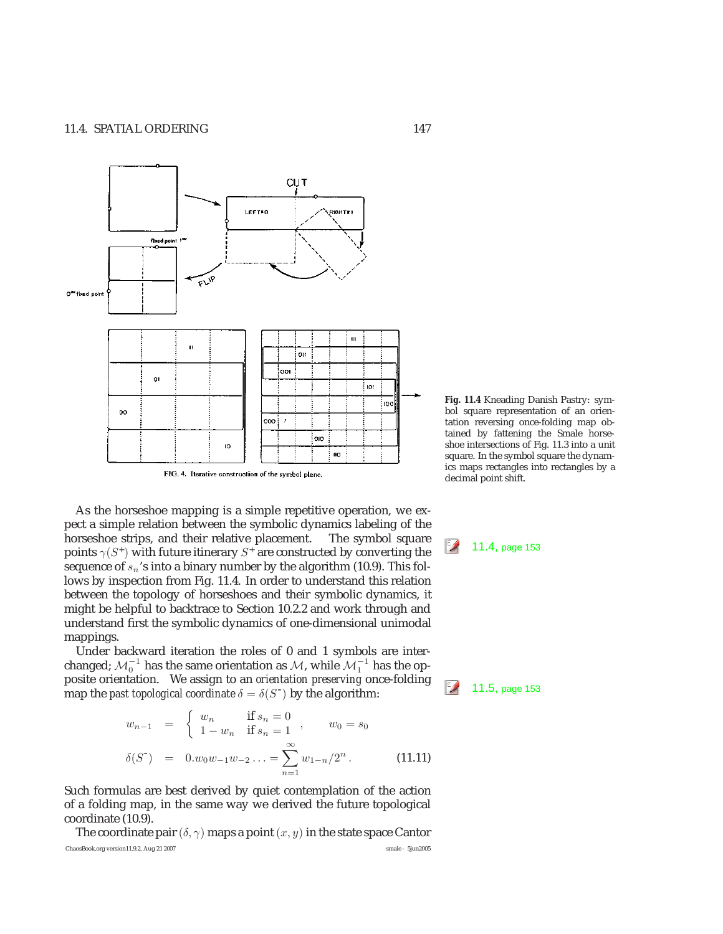

As the horseshoe mapping is a simple repetitive operation, we expect a simple relation between the symbolic dynamics labeling of the horseshoe strips, and their relative placement. The symbol square points  $\gamma(S^+)$  with future itinerary  $S^+$  are constructed by converting the 11.4, page 153 sequence of  $s_n$ 's into a binary number by the algorithm (10.9). This follows by inspection from Fig. 11.4. In order to understand this relation between the topology of horseshoes and their symbolic dynamics, it might be helpful to backtrace to Section 10.2.2 and work through and understand first the symbolic dynamics of one-dimensional unimodal mappings.

Under backward iteration the roles of 0 and 1 symbols are interchanged;  $\mathcal{M}_0^{-1}$  has the same orientation as  $\mathcal{M},$  while  $\mathcal{M}_1^{-1}$  has the opposite orientation. We assign to an *orientation preserving* once-folding map the *past topological coordinate*  $\delta = \delta(S^-)$  by the algorithm:

$$
w_{n-1} = \begin{cases} w_n & \text{if } s_n = 0 \\ 1 - w_n & \text{if } s_n = 1 \end{cases}, \qquad w_0 = s_0
$$
  

$$
\delta(S^-) = 0.w_0w_{-1}w_{-2} \dots = \sum_{n=1}^{\infty} w_{1-n}/2^n.
$$
 (11.11)

Such formulas are best derived by quiet contemplation of the action of a folding map, in the same way we derived the future topological coordinate (10.9).

The coordinate pair  $(\delta, \gamma)$  maps a point  $(x, y)$  in the state space Cantor ChaosBook.org version11.9.2, Aug 21 2007 smale - 5jun2005

**Fig. 11.4** Kneading Danish Pastry: symbol square representation of an orientation reversing once-folding map obtained by fattening the Smale horseshoe intersections of Fig. 11.3 into a unit square. In the symbol square the dynamics maps rectangles into rectangles by a decimal point shift.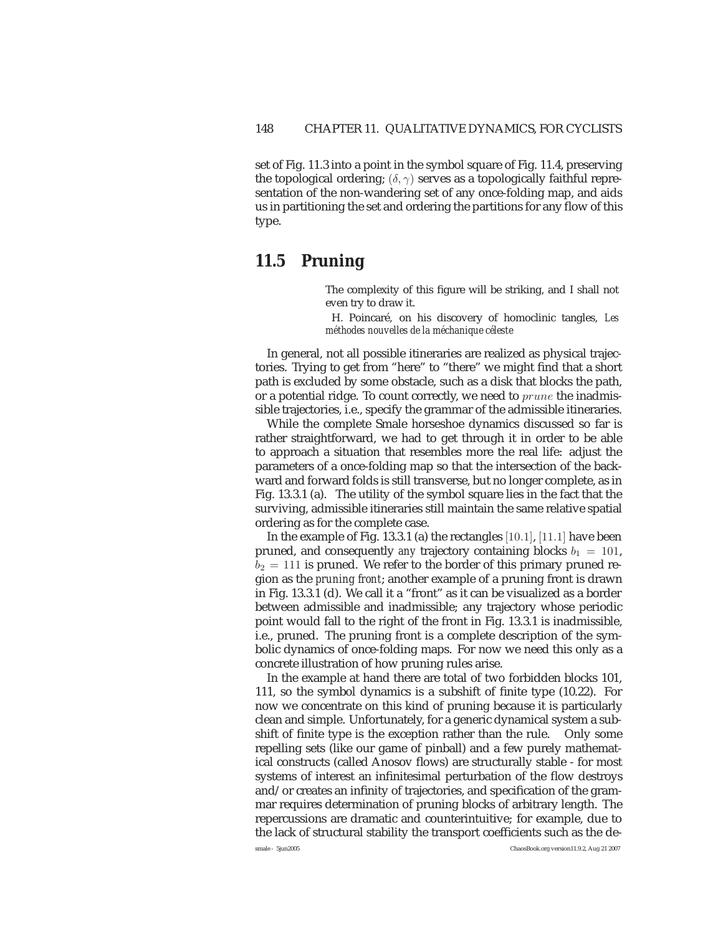set of Fig. 11.3 into a point in the symbol square of Fig. 11.4, preserving the topological ordering;  $(\delta, \gamma)$  serves as a topologically faithful representation of the non-wandering set of any once-folding map, and aids us in partitioning the set and ordering the partitions for any flow of this type.

# **11.5 Pruning**

The complexity of this figure will be striking, and I shall not even try to draw it.

H. Poincar´e, on his discovery of homoclinic tangles, *Les m´ethodes nouvelles de la m´echanique c´eleste*

In general, not all possible itineraries are realized as physical trajectories. Trying to get from "here" to "there" we might find that a short path is excluded by some obstacle, such as a disk that blocks the path, or a potential ridge. To count correctly, we need to *prune* the inadmissible trajectories, i.e., specify the grammar of the admissible itineraries.

While the complete Smale horseshoe dynamics discussed so far is rather straightforward, we had to get through it in order to be able to approach a situation that resembles more the real life: adjust the parameters of a once-folding map so that the intersection of the backward and forward folds is still transverse, but no longer complete, as in Fig. 13.3.1 (a). The utility of the symbol square lies in the fact that the surviving, admissible itineraries still maintain the same relative spatial ordering as for the complete case.

In the example of Fig. 13.3.1 (a) the rectangles [10.1], [11.1] have been pruned, and consequently *any* trajectory containing blocks  $b_1 = 101$ ,  $b_2 = 111$  is pruned. We refer to the border of this primary pruned region as the *pruning front*; another example of a pruning front is drawn in Fig. 13.3.1 (d). We call it a "front" as it can be visualized as a border between admissible and inadmissible; any trajectory whose periodic point would fall to the right of the front in Fig. 13.3.1 is inadmissible, i.e., pruned. The pruning front is a complete description of the symbolic dynamics of once-folding maps. For now we need this only as a concrete illustration of how pruning rules arise.

In the example at hand there are total of two forbidden blocks 101, 111, so the symbol dynamics is a subshift of finite type (10.22). For now we concentrate on this kind of pruning because it is particularly clean and simple. Unfortunately, for a generic dynamical system a subshift of finite type is the exception rather than the rule. Only some repelling sets (like our game of pinball) and a few purely mathematical constructs (called Anosov flows) are structurally stable - for most systems of interest an infinitesimal perturbation of the flow destroys and/or creates an infinity of trajectories, and specification of the grammar requires determination of pruning blocks of arbitrary length. The repercussions are dramatic and counterintuitive; for example, due to the lack of structural stability the transport coefficients such as the de-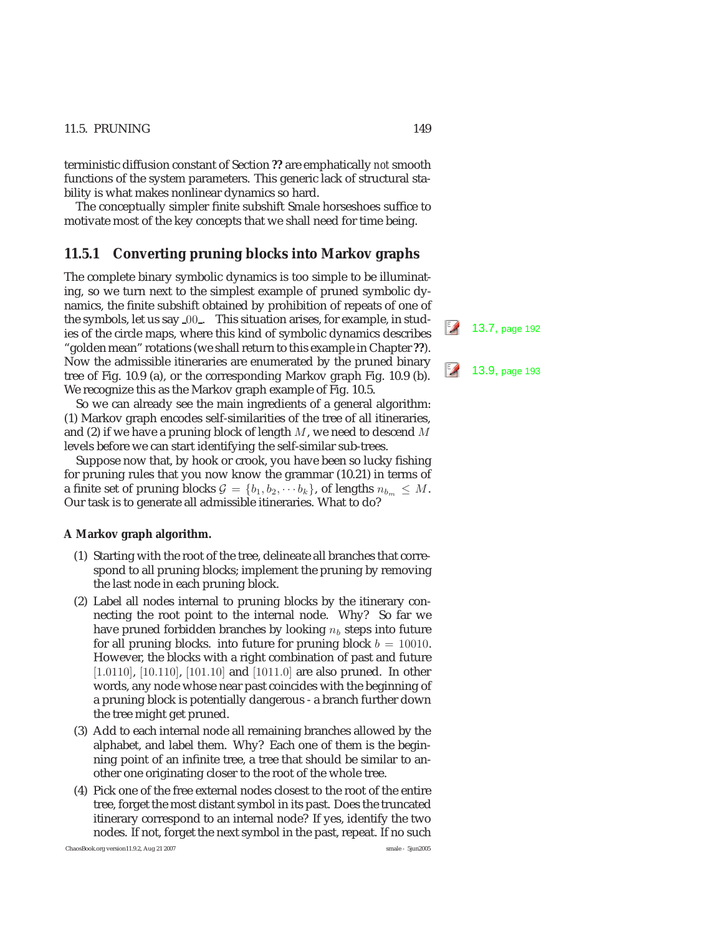terministic diffusion constant of Section **??** are emphatically *not* smooth functions of the system parameters. This generic lack of structural stability is what makes nonlinear dynamics so hard.

The conceptually simpler finite subshift Smale horseshoes suffice to motivate most of the key concepts that we shall need for time being.

#### **11.5.1 Converting pruning blocks into Markov graphs**

The complete binary symbolic dynamics is too simple to be illuminating, so we turn next to the simplest example of pruned symbolic dynamics, the finite subshift obtained by prohibition of repeats of one of the symbols, let us say <sup>00</sup> . This situation arises, for example, in stud- 13.7, page 192 ies of the circle maps, where this kind of symbolic dynamics describes "golden mean" rotations (we shall return to this example in Chapter **??**). Now the admissible itineraries are enumerated by the pruned binary tree of Fig. 10.9 (a), or the corresponding Markov graph Fig. 10.9 (b). <sup>2</sup> 13.9, page 193 We recognize this as the Markov graph example of Fig. 10.5.

So we can already see the main ingredients of a general algorithm: (1) Markov graph encodes self-similarities of the tree of all itineraries, and (2) if we have a pruning block of length  $M$ , we need to descend  $M$ levels before we can start identifying the self-similar sub-trees.

Suppose now that, by hook or crook, you have been so lucky fishing for pruning rules that you now know the grammar (10.21) in terms of a finite set of pruning blocks  $G = \{b_1, b_2, \cdots, b_k\}$ , of lengths  $n_{b_m} \leq M$ . Our task is to generate all admissible itineraries. What to do?

#### **A Markov graph algorithm.**

- (1) Starting with the root of the tree, delineate all branches that correspond to all pruning blocks; implement the pruning by removing the last node in each pruning block.
- (2) Label all nodes internal to pruning blocks by the itinerary connecting the root point to the internal node. Why? So far we have pruned forbidden branches by looking  $n_b$  steps into future for all pruning blocks. into future for pruning block  $b = 10010$ . However, the blocks with a right combination of past and future [1.0110], [10.110], [101.10] and [1011.0] are also pruned. In other words, any node whose near past coincides with the beginning of a pruning block is potentially dangerous - a branch further down the tree might get pruned.
- (3) Add to each internal node all remaining branches allowed by the alphabet, and label them. Why? Each one of them is the beginning point of an infinite tree, a tree that should be similar to another one originating closer to the root of the whole tree.
- (4) Pick one of the free external nodes closest to the root of the entire tree, forget the most distant symbol in its past. Does the truncated itinerary correspond to an internal node? If yes, identify the two nodes. If not, forget the next symbol in the past, repeat. If no such

ChaosBook.org version11.9.2, Aug 21 2007 smale - 5jun2005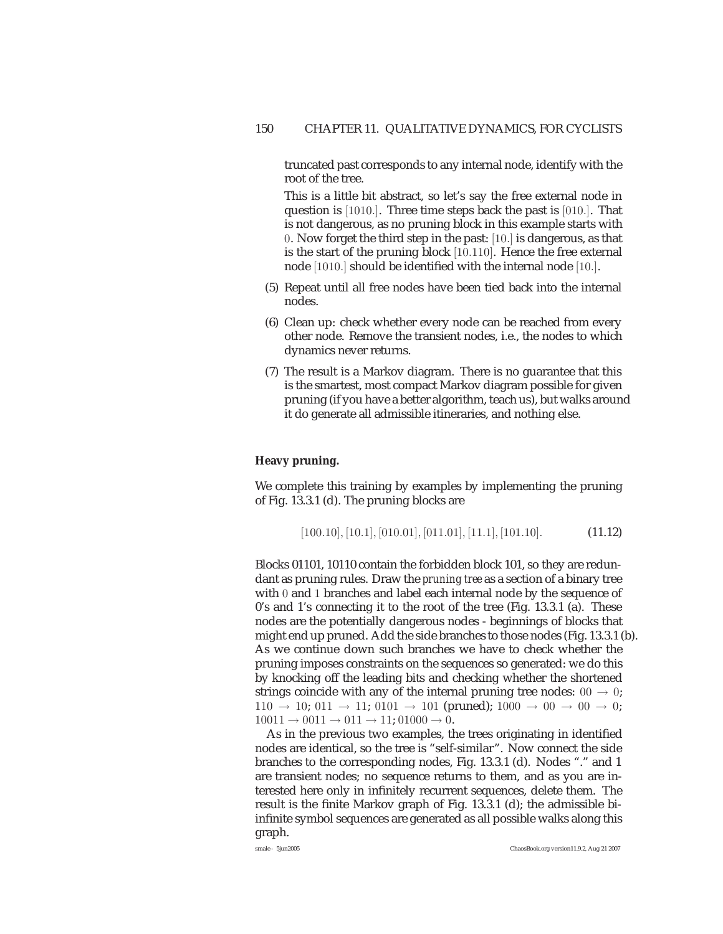truncated past corresponds to any internal node, identify with the root of the tree.

This is a little bit abstract, so let's say the free external node in question is [1010.]. Three time steps back the past is [010.]. That is not dangerous, as no pruning block in this example starts with 0. Now forget the third step in the past: [10.] is dangerous, as that is the start of the pruning block [10.110]. Hence the free external node [1010.] should be identified with the internal node [10.].

- (5) Repeat until all free nodes have been tied back into the internal nodes.
- (6) Clean up: check whether every node can be reached from every other node. Remove the transient nodes, i.e., the nodes to which dynamics never returns.
- (7) The result is a Markov diagram. There is no guarantee that this is the smartest, most compact Markov diagram possible for given pruning (if you have a better algorithm, teach us), but walks around it do generate all admissible itineraries, and nothing else.

#### **Heavy pruning.**

We complete this training by examples by implementing the pruning of Fig. 13.3.1 (d). The pruning blocks are

$$
[100.10], [10.1], [010.01], [011.01], [11.1], [101.10]. \tag{11.12}
$$

Blocks 01101, 10110 contain the forbidden block 101, so they are redundant as pruning rules. Draw the *pruning tree* as a section of a binary tree with 0 and 1 branches and label each internal node by the sequence of 0's and 1's connecting it to the root of the tree (Fig. 13.3.1 (a). These nodes are the potentially dangerous nodes - beginnings of blocks that might end up pruned. Add the side branches to those nodes (Fig. 13.3.1 (b). As we continue down such branches we have to check whether the pruning imposes constraints on the sequences so generated: we do this by knocking off the leading bits and checking whether the shortened strings coincide with any of the internal pruning tree nodes:  $00 \rightarrow 0$ ;  $110 \rightarrow 10$ ;  $011 \rightarrow 11$ ;  $0101 \rightarrow 101$  (pruned);  $1000 \rightarrow 00 \rightarrow 00 \rightarrow 0$ ;  $10011 \rightarrow 0011 \rightarrow 011 \rightarrow 11$ ;  $01000 \rightarrow 0$ .

As in the previous two examples, the trees originating in identified nodes are identical, so the tree is "self-similar". Now connect the side branches to the corresponding nodes, Fig. 13.3.1 (d). Nodes "." and 1 are transient nodes; no sequence returns to them, and as you are interested here only in infinitely recurrent sequences, delete them. The result is the finite Markov graph of Fig. 13.3.1 (d); the admissible biinfinite symbol sequences are generated as all possible walks along this graph.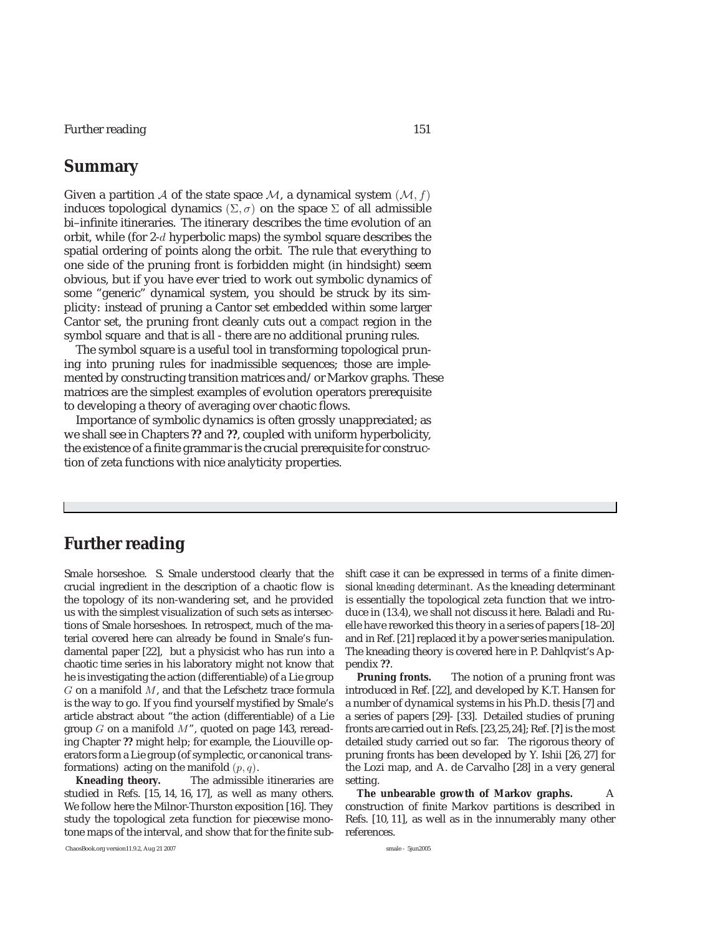Further reading 151

# **Summary**

Given a partition A of the state space M, a dynamical system  $(M, f)$ induces topological dynamics  $(\Sigma, \sigma)$  on the space  $\Sigma$  of all admissible bi–infinite itineraries. The itinerary describes the time evolution of an orbit, while (for 2-d hyperbolic maps) the symbol square describes the spatial ordering of points along the orbit. The rule that everything to one side of the pruning front is forbidden might (in hindsight) seem obvious, but if you have ever tried to work out symbolic dynamics of some "generic" dynamical system, you should be struck by its simplicity: instead of pruning a Cantor set embedded within some larger Cantor set, the pruning front cleanly cuts out a *compact* region in the symbol square and that is all - there are no additional pruning rules.

The symbol square is a useful tool in transforming topological pruning into pruning rules for inadmissible sequences; those are implemented by constructing transition matrices and/or Markov graphs. These matrices are the simplest examples of evolution operators prerequisite to developing a theory of averaging over chaotic flows.

Importance of symbolic dynamics is often grossly unappreciated; as we shall see in Chapters **??** and **??**, coupled with uniform hyperbolicity, the existence of a finite grammar is the crucial prerequisite for construction of zeta functions with nice analyticity properties.

# **Further reading**

Smale horseshoe. S. Smale understood clearly that the crucial ingredient in the description of a chaotic flow is the topology of its non-wandering set, and he provided us with the simplest visualization of such sets as intersections of Smale horseshoes. In retrospect, much of the material covered here can already be found in Smale's fundamental paper [22], but a physicist who has run into a chaotic time series in his laboratory might not know that he is investigating the action (differentiable) of a Lie group  $G$  on a manifold  $M$ , and that the Lefschetz trace formula is the way to go. If you find yourself mystified by Smale's article abstract about "the action (differentiable) of a Lie group  $G$  on a manifold  $M$ ", quoted on page 143, rereading Chapter **??** might help; for example, the Liouville operators form a Lie group (of symplectic, or canonical transformations) acting on the manifold  $(p, q)$ .

**Kneading theory.** The admissible itineraries are studied in Refs. [15, 14, 16, 17], as well as many others. We follow here the Milnor-Thurston exposition [16]. They study the topological zeta function for piecewise monotone maps of the interval, and show that for the finite subshift case it can be expressed in terms of a finite dimensional *kneading determinant*. As the kneading determinant is essentially the topological zeta function that we introduce in (13.4), we shall not discuss it here. Baladi and Ruelle have reworked this theory in a series of papers [18–20] and in Ref. [21] replaced it by a power series manipulation. The kneading theory is covered here in P. Dahlqvist's Appendix **??**.

**Pruning fronts.** The notion of a pruning front was introduced in Ref. [22], and developed by K.T. Hansen for a number of dynamical systems in his Ph.D. thesis [7] and a series of papers [29]- [33]. Detailed studies of pruning fronts are carried out in Refs. [23,25,24]; Ref. [**?**] is the most detailed study carried out so far. The rigorous theory of pruning fronts has been developed by Y. Ishii [26, 27] for the Lozi map, and A. de Carvalho [28] in a very general setting.

**The unbearable growth of Markov graphs.** A construction of finite Markov partitions is described in Refs. [10, 11], as well as in the innumerably many other references.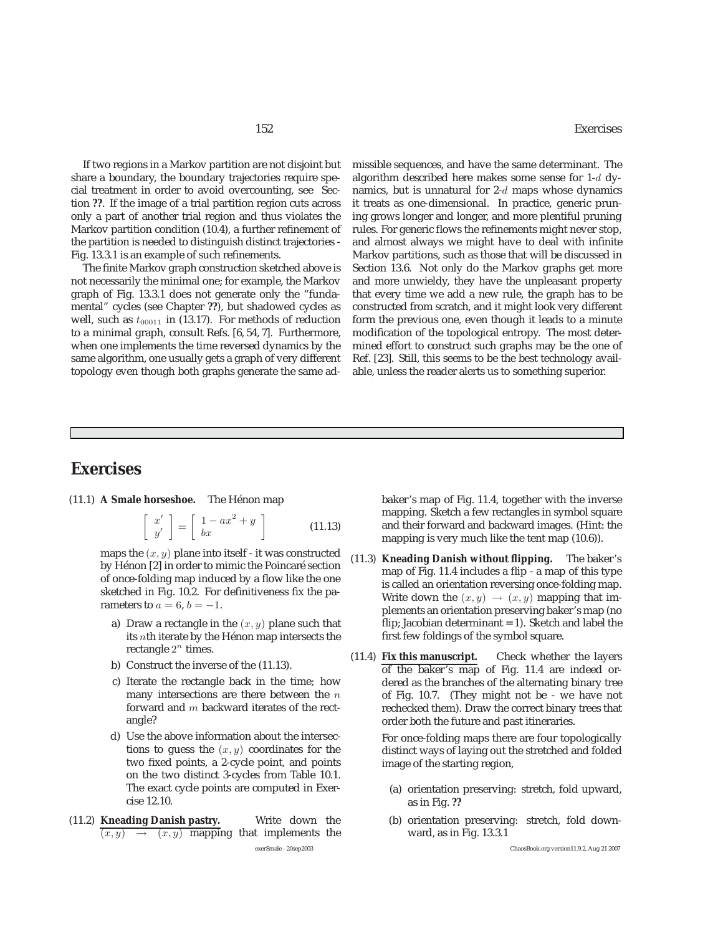If two regions in a Markov partition are not disjoint but share a boundary, the boundary trajectories require special treatment in order to avoid overcounting, see Section **??**. If the image of a trial partition region cuts across only a part of another trial region and thus violates the Markov partition condition (10.4), a further refinement of the partition is needed to distinguish distinct trajectories - Fig. 13.3.1 is an example of such refinements.

The finite Markov graph construction sketched above is not necessarily the minimal one; for example, the Markov graph of Fig. 13.3.1 does not generate only the "fundamental" cycles (see Chapter **??**), but shadowed cycles as well, such as  $t_{00011}$  in (13.17). For methods of reduction to a minimal graph, consult Refs. [6, 54, 7]. Furthermore, when one implements the time reversed dynamics by the same algorithm, one usually gets a graph of very different topology even though both graphs generate the same admissible sequences, and have the same determinant. The algorithm described here makes some sense for 1-d dynamics, but is unnatural for  $2-d$  maps whose dynamics it treats as one-dimensional. In practice, generic pruning grows longer and longer, and more plentiful pruning rules. For generic flows the refinements might never stop, and almost always we might have to deal with infinite Markov partitions, such as those that will be discussed in Section 13.6. Not only do the Markov graphs get more and more unwieldy, they have the unpleasant property that every time we add a new rule, the graph has to be constructed from scratch, and it might look very different form the previous one, even though it leads to a minute modification of the topological entropy. The most determined effort to construct such graphs may be the one of Ref. [23]. Still, this seems to be the best technology available, unless the reader alerts us to something superior.

# **Exercises**

(11.1) **A Smale horseshoe.** The Hénon map

$$
\left[\begin{array}{c} x' \\ y' \end{array}\right] = \left[\begin{array}{c} 1 - ax^2 + y \\ bx \end{array}\right]
$$
 (11.13)

maps the  $(x, y)$  plane into itself - it was constructed by Hénon [2] in order to mimic the Poincaré section of once-folding map induced by a flow like the one sketched in Fig. 10.2. For definitiveness fix the parameters to  $a = 6$ ,  $b = -1$ .

- a) Draw a rectangle in the  $(x, y)$  plane such that its  $n$ th iterate by the Hénon map intersects the rectangle  $2^n$  times.
- b) Construct the inverse of the (11.13).
- c) Iterate the rectangle back in the time; how many intersections are there between the  $n$ forward and m backward iterates of the rectangle?
- d) Use the above information about the intersections to guess the  $(x, y)$  coordinates for the two fixed points, a 2-cycle point, and points on the two distinct 3-cycles from Table 10.1. The exact cycle points are computed in Exercise 12.10.
- (11.2) **Kneading Danish pastry.** Write down the  $(x, y) \rightarrow (x, y)$  mapping that implements the

baker's map of Fig. 11.4, together with the inverse mapping. Sketch a few rectangles in symbol square and their forward and backward images. (Hint: the mapping is very much like the tent map (10.6)).

- (11.3) **Kneading Danish without flipping.** The baker's map of Fig. 11.4 includes a flip - a map of this type is called an orientation reversing once-folding map. Write down the  $(x, y) \rightarrow (x, y)$  mapping that implements an orientation preserving baker's map (no flip; Jacobian determinant  $= 1$ ). Sketch and label the first few foldings of the symbol square.
- (11.4) **Fix this manuscript.** Check whether the layers of the baker's map of Fig. 11.4 are indeed ordered as the branches of the alternating binary tree of Fig. 10.7. (They might not be - we have not rechecked them). Draw the correct binary trees that order both the future and past itineraries.

For once-folding maps there are four topologically distinct ways of laying out the stretched and folded image of the starting region,

- (a) orientation preserving: stretch, fold upward, as in Fig. **??**
- (b) orientation preserving: stretch, fold downward, as in Fig. 13.3.1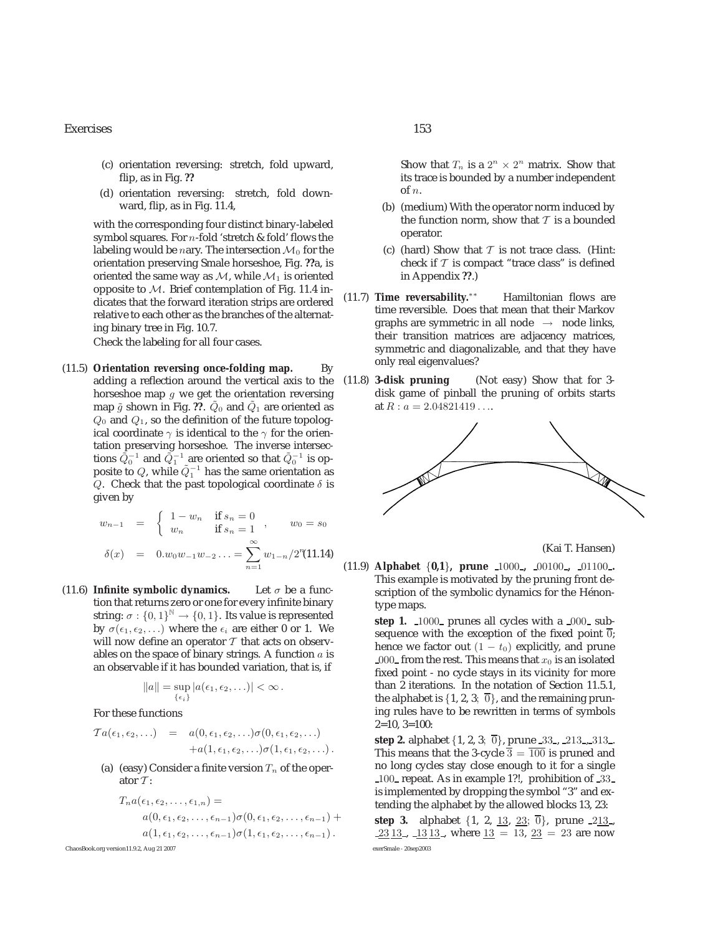#### Exercises 153

- (c) orientation reversing: stretch, fold upward, flip, as in Fig. **??**
- (d) orientation reversing: stretch, fold downward, flip, as in Fig. 11.4,

with the corresponding four distinct binary-labeled symbol squares. For  $n$ -fold 'stretch & fold' flows the labeling would be nary. The intersection  $\mathcal{M}_0$  for the orientation preserving Smale horseshoe, Fig. **??**a, is oriented the same way as  $M$ , while  $M_1$  is oriented opposite to  $M$ . Brief contemplation of Fig. 11.4 indicates that the forward iteration strips are ordered relative to each other as the branches of the alternating binary tree in Fig. 10.7. Check the labeling for all four cases.

(11.5) **Orientation reversing once-folding map.** By adding a reflection around the vertical axis to the horseshoe map  $g$  we get the orientation reversing map  $\tilde{g}$  shown in Fig. ??.  $\tilde{Q}_0$  and  $\tilde{Q}_1$  are oriented as  $Q_0$  and  $Q_1$ , so the definition of the future topological coordinate  $\gamma$  is identical to the  $\gamma$  for the orientation preserving horseshoe. The inverse intersections  $\tilde{Q}_0^{-1}$  and  $\tilde{Q}_1^{-1}$  are oriented so that  $\tilde{Q}_0^{-1}$  is opposite to  $Q$ , while  $\tilde{Q}_1^{-1}$  has the same orientation as Q. Check that the past topological coordinate  $\delta$  is given by

$$
w_{n-1} = \begin{cases} 1 - w_n & \text{if } s_n = 0 \\ w_n & \text{if } s_n = 1 \end{cases}, \qquad w_0 = s_0
$$

$$
\delta(x) = 0.w_0w_{-1}w_{-2}... = \sum_{n=1}^{\infty} w_{1-n}/2^n(11.14)
$$

(11.6) **Infinite symbolic dynamics.** Let  $\sigma$  be a function that returns zero or one for every infinite binary string:  $\sigma : \{0, 1\}^{\mathbb{N}} \to \{0, 1\}$ . Its value is represented by  $\sigma(\epsilon_1, \epsilon_2,...)$  where the  $\epsilon_i$  are either 0 or 1. We will now define an operator  $T$  that acts on observables on the space of binary strings. A function  $a$  is an observable if it has bounded variation, that is, if

$$
||a|| = \sup_{\{\epsilon_i\}} |a(\epsilon_1, \epsilon_2, \ldots)| < \infty.
$$

For these functions

$$
Ta(\epsilon_1, \epsilon_2, \ldots) = a(0, \epsilon_1, \epsilon_2, \ldots) \sigma(0, \epsilon_1, \epsilon_2, \ldots) + a(1, \epsilon_1, \epsilon_2, \ldots) \sigma(1, \epsilon_1, \epsilon_2, \ldots).
$$

(a) (easy) Consider a finite version  $T_n$  of the operator  $T$ :

$$
T_n a(\epsilon_1, \epsilon_2, \ldots, \epsilon_{1,n}) =
$$
  
\n
$$
a(0, \epsilon_1, \epsilon_2, \ldots, \epsilon_{n-1}) \sigma(0, \epsilon_1, \epsilon_2, \ldots, \epsilon_{n-1}) +
$$
  
\n
$$
a(1, \epsilon_1, \epsilon_2, \ldots, \epsilon_{n-1}) \sigma(1, \epsilon_1, \epsilon_2, \ldots, \epsilon_{n-1}).
$$

ChaosBook.org version11.9.2, Aug 21 2007 exerSmale - 20sep2003

Show that  $T_n$  is a  $2^n \times 2^n$  matrix. Show that its trace is bounded by a number independent of n.

- (b) (medium) With the operator norm induced by the function norm, show that  $T$  is a bounded operator.
- (c) (hard) Show that  $T$  is not trace class. (Hint: check if  $\mathcal T$  is compact "trace class" is defined in Appendix **??**.)
- (11.7) **Time reversability.**∗∗ Hamiltonian flows are time reversible. Does that mean that their Markov graphs are symmetric in all node  $\rightarrow$  node links, their transition matrices are adjacency matrices, symmetric and diagonalizable, and that they have only real eigenvalues?
- (11.8) **3-disk pruning** (Not easy) Show that for 3 disk game of pinball the pruning of orbits starts at  $R : a = 2.04821419...$



(Kai T. Hansen)

(11.9) **Alphabet** {**0,1**}**, prune** 1000 **,** 00100 **,** 01100 **.** This example is motivated by the pruning front description of the symbolic dynamics for the Hénontype maps.

> step 1. 1000<sub>-</sub> prunes all cycles with a 000<sub>-</sub> subsequence with the exception of the fixed point  $\overline{0}$ ; hence we factor out  $(1 - t_0)$  explicitly, and prune 000 from the rest. This means that  $x_0$  is an isolated fixed point - no cycle stays in its vicinity for more than 2 iterations. In the notation of Section 11.5.1, the alphabet is  $\{1, 2, 3; \overline{0}\}$ , and the remaining pruning rules have to be rewritten in terms of symbols  $2=10, 3=100$ :

> **step 2.** alphabet  $\{1, 2, 3; \overline{0}\}$ , prune 33, 213, 313, This means that the 3-cycle  $\overline{3} = \overline{100}$  is pruned and no long cycles stay close enough to it for a single 100 repeat. As in example 1?!, prohibition of 33 is implemented by dropping the symbol "3" and extending the alphabet by the allowed blocks 13, 23:

> **step 3.** alphabet  $\{1, 2, 13, 23, 0\}$ , prune 213,  $23\overline{13}$ ,  $13\overline{13}$ , where  $13 = 13$ ,  $23 = 23$  are now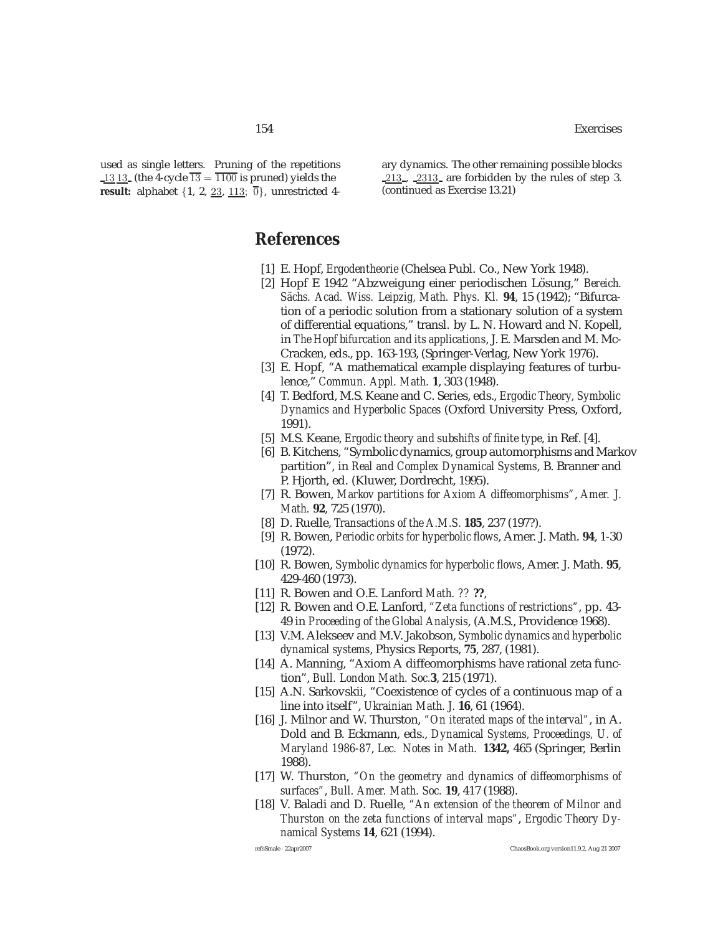used as single letters. Pruning of the repetitions 13 13 (the 4-cycle  $\overline{13} = \overline{1100}$  is pruned) yields the **result:** alphabet  $\{1, 2, 23, 113, 0\}$ , unrestricted 4ary dynamics. The other remaining possible blocks 213 , 2313 are forbidden by the rules of step 3. (continued as Exercise 13.21)

# **References**

- [1] E. Hopf, *Ergodentheorie* (Chelsea Publ. Co., New York 1948).
- [2] Hopf E 1942 "Abzweigung einer periodischen Lösung," *Bereich. S¨achs. Acad. Wiss. Leipzig, Math. Phys. Kl.* **94**, 15 (1942); "Bifurcation of a periodic solution from a stationary solution of a system of differential equations," transl. by L. N. Howard and N. Kopell, in *The Hopf bifurcation and its applications*, J. E. Marsden and M. Mc-Cracken, eds., pp. 163-193, (Springer-Verlag, New York 1976).
- [3] E. Hopf, "A mathematical example displaying features of turbulence," *Commun. Appl. Math.* **1**, 303 (1948).
- [4] T. Bedford, M.S. Keane and C. Series, eds., *Ergodic Theory, Symbolic Dynamics and Hyperbolic Spaces* (Oxford University Press, Oxford, 1991).
- [5] M.S. Keane, *Ergodic theory and subshifts of finite type*, in Ref. [4].
- [6] B. Kitchens, "Symbolic dynamics, group automorphisms and Markov partition", in *Real and Complex Dynamical Systems*, B. Branner and P. Hjorth, ed. (Kluwer, Dordrecht, 1995).
- [7] R. Bowen, *Markov partitions for Axiom A diffeomorphisms"*, *Amer. J. Math.* **92**, 725 (1970).
- [8] D. Ruelle, *Transactions of the A.M.S.* **185**, 237 (197?).
- [9] R. Bowen, *Periodic orbits for hyperbolic flows*, Amer. J. Math. **94**, 1-30 (1972).
- [10] R. Bowen, *Symbolic dynamics for hyperbolic flows*, Amer. J. Math. **95**, 429-460 (1973).
- [11] R. Bowen and O.E. Lanford *Math. ??* **??**,
- [12] R. Bowen and O.E. Lanford, *"Zeta functions of restrictions"*, pp. 43- 49 in *Proceeding of the Global Analysis*, (A.M.S., Providence 1968).
- [13] V.M. Alekseev and M.V. Jakobson, *Symbolic dynamics and hyperbolic dynamical systems*, Physics Reports, **75**, 287, (1981).
- [14] A. Manning, "Axiom A diffeomorphisms have rational zeta function", *Bull. London Math. Soc.***3**, 215 (1971).
- [15] A.N. Sarkovskii, "Coexistence of cycles of a continuous map of a line into itself", *Ukrainian Math. J.* **16**, 61 (1964).
- [16] J. Milnor and W. Thurston, *"On iterated maps of the interval"*, in A. Dold and B. Eckmann, eds., *Dynamical Systems, Proceedings, U. of Maryland 1986-87*, *Lec. Notes in Math.* **1342,** 465 (Springer, Berlin 1988).
- [17] W. Thurston, *"On the geometry and dynamics of diffeomorphisms of surfaces"*, *Bull. Amer. Math. Soc.* **19**, 417 (1988).
- [18] V. Baladi and D. Ruelle, *"An extension of the theorem of Milnor and Thurston on the zeta functions of interval maps"*, *Ergodic Theory Dynamical Systems* **14**, 621 (1994).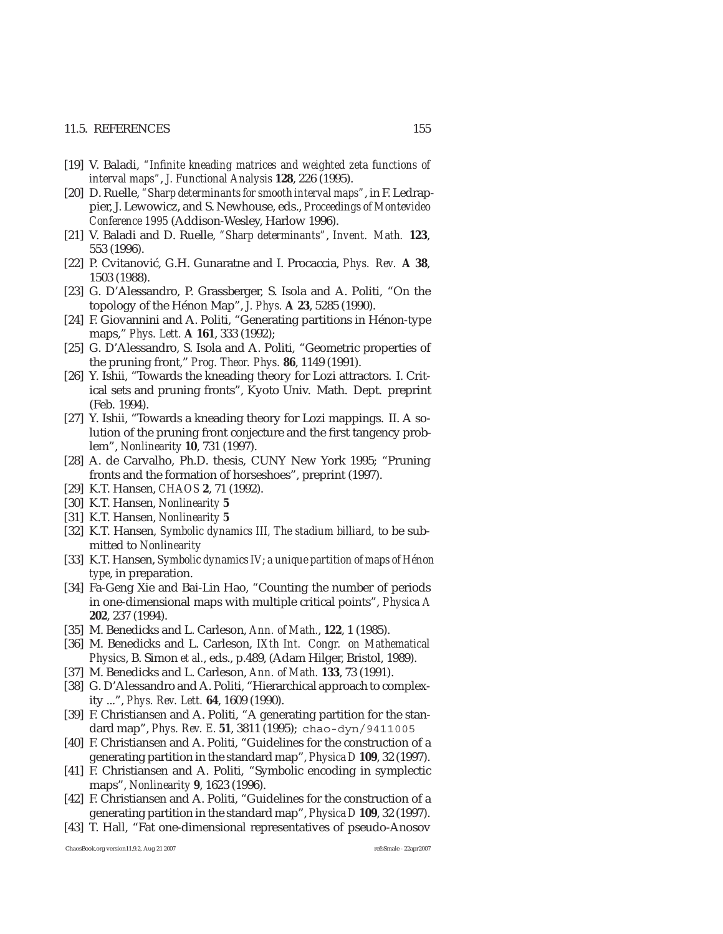#### 11.5. REFERENCES 155

- [19] V. Baladi, *"Infinite kneading matrices and weighted zeta functions of interval maps"*, *J. Functional Analysis* **128**, 226 (1995).
- [20] D. Ruelle, *"Sharp determinants for smooth interval maps"*, in F. Ledrappier, J. Lewowicz, and S. Newhouse, eds., *Proceedings of Montevideo Conference 1995* (Addison-Wesley, Harlow 1996).
- [21] V. Baladi and D. Ruelle, *"Sharp determinants"*, *Invent. Math.* **123**, 553 (1996).
- [22] P. Cvitanović, G.H. Gunaratne and I. Procaccia, *Phys. Rev.* A 38, 1503 (1988).
- [23] G. D'Alessandro, P. Grassberger, S. Isola and A. Politi, "On the topology of the Hénon Map", *J. Phys.* **A 23**, 5285 (1990).
- [24] F. Giovannini and A. Politi, "Generating partitions in Hénon-type maps," *Phys. Lett.* **A 161**, 333 (1992);
- [25] G. D'Alessandro, S. Isola and A. Politi, "Geometric properties of the pruning front," *Prog. Theor. Phys.* **86**, 1149 (1991).
- [26] Y. Ishii, "Towards the kneading theory for Lozi attractors. I. Critical sets and pruning fronts", Kyoto Univ. Math. Dept. preprint (Feb. 1994).
- [27] Y. Ishii, "Towards a kneading theory for Lozi mappings. II. A solution of the pruning front conjecture and the first tangency problem", *Nonlinearity* **10**, 731 (1997).
- [28] A. de Carvalho, Ph.D. thesis, CUNY New York 1995; "Pruning fronts and the formation of horseshoes", preprint (1997).
- [29] K.T. Hansen, *CHAOS* **2**, 71 (1992).
- [30] K.T. Hansen, *Nonlinearity* **5**
- [31] K.T. Hansen, *Nonlinearity* **5**
- [32] K.T. Hansen, *Symbolic dynamics III, The stadium billiard*, to be submitted to *Nonlinearity*
- [33] K.T. Hansen, *Symbolic dynamics IV; a unique partition of maps of Hénon type*, in preparation.
- [34] Fa-Geng Xie and Bai-Lin Hao, "Counting the number of periods in one-dimensional maps with multiple critical points", *Physica A* **202**, 237 (1994).
- [35] M. Benedicks and L. Carleson, *Ann. of Math.*, **122**, 1 (1985).
- [36] M. Benedicks and L. Carleson, *IXth Int. Congr. on Mathematical Physics*, B. Simon *et al.*, eds., p.489, (Adam Hilger, Bristol, 1989).
- [37] M. Benedicks and L. Carleson, *Ann. of Math.* **133**, 73 (1991).
- [38] G. D'Alessandro and A. Politi, "Hierarchical approach to complexity ...", *Phys. Rev. Lett.* **64**, 1609 (1990).
- [39] F. Christiansen and A. Politi, "A generating partition for the standard map", *Phys. Rev. E.* **51**, 3811 (1995); chao-dyn/9411005
- [40] F. Christiansen and A. Politi, "Guidelines for the construction of a generating partition in the standard map", *Physica D* **109**, 32 (1997).
- [41] F. Christiansen and A. Politi, "Symbolic encoding in symplectic maps", *Nonlinearity* **9**, 1623 (1996).
- [42] F. Christiansen and A. Politi, "Guidelines for the construction of a generating partition in the standard map", *Physica D* **109**, 32 (1997).
- [43] T. Hall, "Fat one-dimensional representatives of pseudo-Anosov